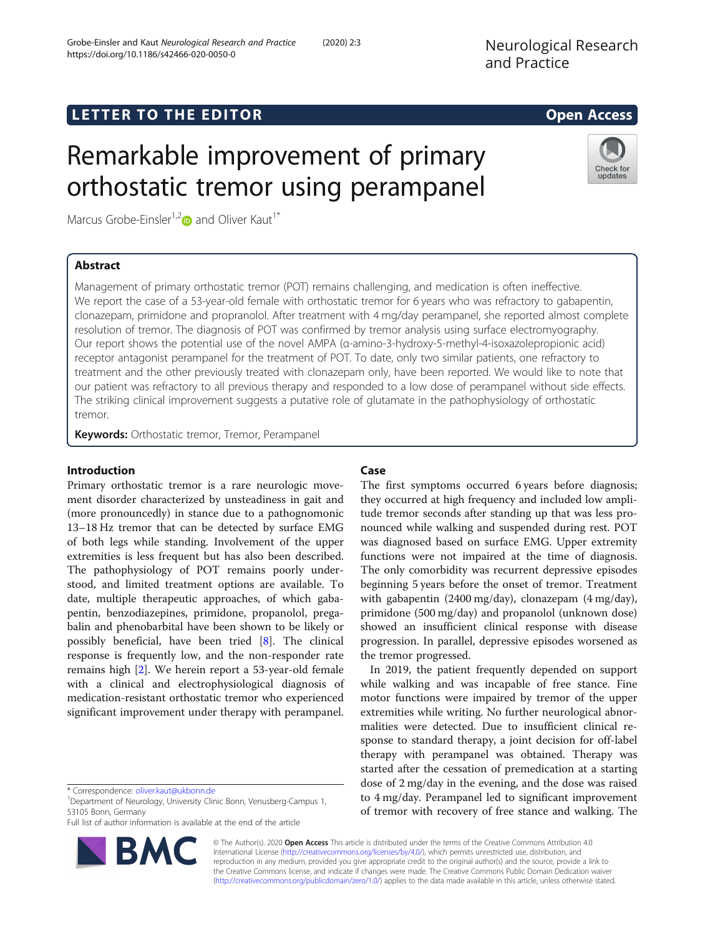## **LETTER TO THE EDITOR CONSIDERING ACCESS**

# Remarkable improvement of primary orthostatic tremor using perampanel

Marcus Grobe-Einsler<sup>1,2</sup> $\bullet$  and Oliver Kaut<sup>1\*</sup>

## Abstract

Management of primary orthostatic tremor (POT) remains challenging, and medication is often ineffective. We report the case of a 53-year-old female with orthostatic tremor for 6 years who was refractory to gabapentin, clonazepam, primidone and propranolol. After treatment with 4 mg/day perampanel, she reported almost complete resolution of tremor. The diagnosis of POT was confirmed by tremor analysis using surface electromyography. Our report shows the potential use of the novel AMPA (α-amino-3-hydroxy-5-methyl-4-isoxazolepropionic acid) receptor antagonist perampanel for the treatment of POT. To date, only two similar patients, one refractory to treatment and the other previously treated with clonazepam only, have been reported. We would like to note that our patient was refractory to all previous therapy and responded to a low dose of perampanel without side effects. The striking clinical improvement suggests a putative role of glutamate in the pathophysiology of orthostatic tremor.

Keywords: Orthostatic tremor, Tremor, Perampanel

## Introduction

Primary orthostatic tremor is a rare neurologic movement disorder characterized by unsteadiness in gait and (more pronouncedly) in stance due to a pathognomonic 13–18 Hz tremor that can be detected by surface EMG of both legs while standing. Involvement of the upper extremities is less frequent but has also been described. The pathophysiology of POT remains poorly understood, and limited treatment options are available. To date, multiple therapeutic approaches, of which gabapentin, benzodiazepines, primidone, propanolol, pregabalin and phenobarbital have been shown to be likely or possibly beneficial, have been tried [\[8](#page-2-0)]. The clinical response is frequently low, and the non-responder rate remains high [[2\]](#page-2-0). We herein report a 53-year-old female with a clinical and electrophysiological diagnosis of medication-resistant orthostatic tremor who experienced significant improvement under therapy with perampanel.

<sup>1</sup>Department of Neurology, University Clinic Bonn, Venusberg-Campus 1, 53105 Bonn, Germany

Full list of author information is available at the end of the article

## Case

The first symptoms occurred 6 years before diagnosis; they occurred at high frequency and included low amplitude tremor seconds after standing up that was less pronounced while walking and suspended during rest. POT was diagnosed based on surface EMG. Upper extremity functions were not impaired at the time of diagnosis. The only comorbidity was recurrent depressive episodes beginning 5 years before the onset of tremor. Treatment with gabapentin (2400 mg/day), clonazepam (4 mg/day), primidone (500 mg/day) and propanolol (unknown dose) showed an insufficient clinical response with disease progression. In parallel, depressive episodes worsened as the tremor progressed.

In 2019, the patient frequently depended on support while walking and was incapable of free stance. Fine motor functions were impaired by tremor of the upper extremities while writing. No further neurological abnormalities were detected. Due to insufficient clinical response to standard therapy, a joint decision for off-label therapy with perampanel was obtained. Therapy was started after the cessation of premedication at a starting dose of 2 mg/day in the evening, and the dose was raised to 4 mg/day. Perampanel led to significant improvement of tremor with recovery of free stance and walking. The

© The Author(s). 2020 Open Access This article is distributed under the terms of the Creative Commons Attribution 4.0 International License [\(http://creativecommons.org/licenses/by/4.0/](http://creativecommons.org/licenses/by/4.0/)), which permits unrestricted use, distribution, and reproduction in any medium, provided you give appropriate credit to the original author(s) and the source, provide a link to the Creative Commons license, and indicate if changes were made. The Creative Commons Public Domain Dedication waiver [\(http://creativecommons.org/publicdomain/zero/1.0/](http://creativecommons.org/publicdomain/zero/1.0/)) applies to the data made available in this article, unless otherwise stated.





Check for updates

<sup>\*</sup> Correspondence: [oliver.kaut@ukbonn.de](mailto:oliver.kaut@ukbonn.de) <sup>1</sup>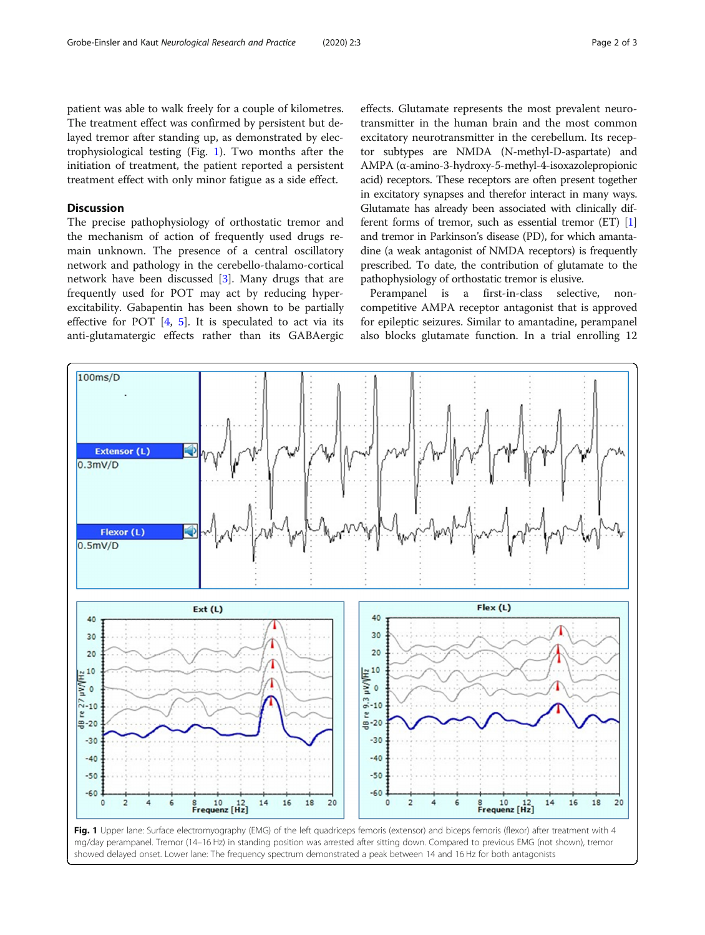patient was able to walk freely for a couple of kilometres. The treatment effect was confirmed by persistent but delayed tremor after standing up, as demonstrated by electrophysiological testing (Fig. 1). Two months after the initiation of treatment, the patient reported a persistent treatment effect with only minor fatigue as a side effect.

## Discussion

The precise pathophysiology of orthostatic tremor and the mechanism of action of frequently used drugs remain unknown. The presence of a central oscillatory network and pathology in the cerebello-thalamo-cortical network have been discussed [[3\]](#page-2-0). Many drugs that are frequently used for POT may act by reducing hyperexcitability. Gabapentin has been shown to be partially effective for POT  $[4, 5]$  $[4, 5]$  $[4, 5]$  $[4, 5]$ . It is speculated to act via its anti-glutamatergic effects rather than its GABAergic

effects. Glutamate represents the most prevalent neurotransmitter in the human brain and the most common excitatory neurotransmitter in the cerebellum. Its receptor subtypes are NMDA (N-methyl-D-aspartate) and AMPA (α-amino-3-hydroxy-5-methyl-4-isoxazolepropionic acid) receptors. These receptors are often present together in excitatory synapses and therefor interact in many ways. Glutamate has already been associated with clinically different forms of tremor, such as essential tremor (ET) [[1](#page-2-0)] and tremor in Parkinson's disease (PD), for which amantadine (a weak antagonist of NMDA receptors) is frequently prescribed. To date, the contribution of glutamate to the pathophysiology of orthostatic tremor is elusive.

Perampanel is a first-in-class selective, noncompetitive AMPA receptor antagonist that is approved for epileptic seizures. Similar to amantadine, perampanel also blocks glutamate function. In a trial enrolling 12